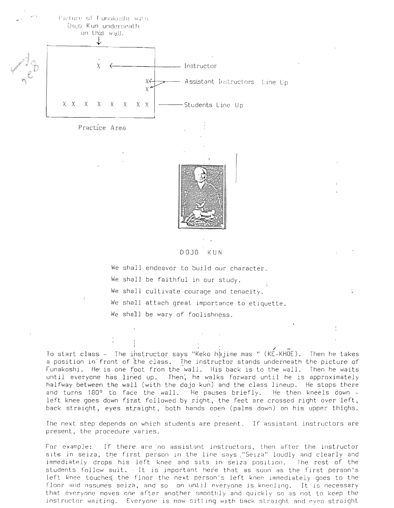

DOJO KUN

We shall endeavor to build our character. We shall be faithful in our study. We shall cultivate courage and tenacity. We shall attach great importance to etiquette. We shall be wary of foolishness.

To start class. - The instructor says "Keko hajime mas " ( $KÉ-KHOE$ ). Then he takes a position in front of the class. The instructor stands underneath the picture of Funakoshi. He is one foot from the wall. His back is to the wall. Then he waits until everyone has lined up. Then, he walks forward until he is approximately halfway between the wall (with the dojo kun) and the class lineup. He stops there and turns 180° to face the wall. He pauses briefly. He then kneels down left knee goes down first followed by right, the feet are crossed right over left, back straight, eyes straight, both hands open (palms down) on his upper thighs.

The next step depends on which students are present. If assistant instructors are present, the procedure ,varies.

For example: If there. are 'no assistant instructors, then after the instructor sits in seiza, the first person in the line says "Seiza" loudly and clearly and immediately drops his left knee and sits in seiza position. The rest of the students follow suit. It is important here that as soon as lhe first person's left knee touches the floor the next person's left knee immediately goes to the floor and assumes seiza, and so on until everyone is kneeling. It is necessary that everyone moves one after another smoothly and quickly so as not to keep the instructor waiting. Everyone is now sitting with back straight and eyes straight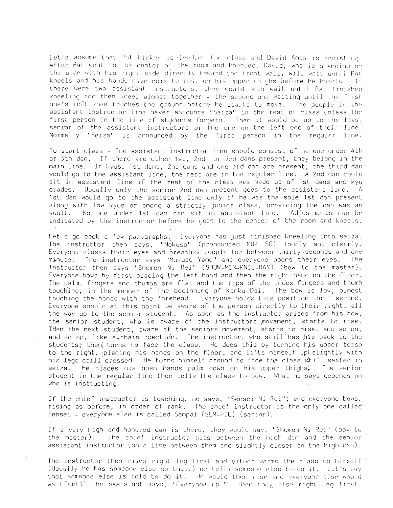Let's assume that Pat Hickey is leadint the class and David Ames is assisting. AFter Pat went to the center of the room and kneeled, David, who is standing on the side with his right side directly toward the front wall, will wait until Pat kneels and his hands have come to rest on his upper thighs before he kneels. If there were two assistant instructors, they would both wait until Pat finished kneeling and then kneel almost together - the second one waiting until Lhe first one's left knee touches the ground before he starts to move. The people in the assistant instructor line never announce "Seiza" lo the rest of class unless lhe first person in the line of students forgets. Then it would be up to the least senior of the assistant instructors or the one on the left end of their line. Normally "Seiza" is announced by the first person in the regular line.

To start class - The assistant instructor line should consist of no one under 4th or 5th dan. If there are other 1st, 2nd, or 3rd dans present, they belong in the main line. If kyus, 1st dans, 2nd dans and one 3rd dan are present, the third dan WGuld go to the assistant line, the rest are in the regular line. A 2nd dan could sit in assistant line if the rest of the class was made up of 1st dans and kyu grades. Usually only the senior 2nd dan present goes to the assistant line. A 1st dan would go to the assistant line only if he was the sole 1st dan present along with low kyus or among <sup>a</sup> strictly junior class, providing the dan was an adult. No one under 1st dan can sit in assistant line. Adjustments can be indicated by the instructor before he goes to the center of the room and kneels.

Let's go back a few paragraphs. Everyone has just finished kneeling into seiza. The instructor then says, "Mokuso" (pronounced MUK SO) loudly and clearly. Everyone closes their eyes and breathes deeply for between thirty ·seconds and one minute. The instructor says "Mukuso Yame" and everyone opens their eyes. The Instructor then says "Shomen Ni Rei" (SHOW-MEN-KNEE-RAY) (bow to the master). Everyone bows by first placing the left hand and then the right hand on the floor. The palm, fingers and thumbs are flat and the tips of the index fingers and thumh touching, in the manner of the beginning of Kanku Dai. The bow is low, almost touching the hands with the forehead. Everyone holds this position for 1 second. Everyone should at this point be aware of the person directly to their right, all the way up to the senior student. As soon as the instructor arises from his bow, the senior student, who is aware of the instructors movement, starts to rise. Then the next student, aware of the seniors movement, starts to rise, and so on, and so on, like a-chain reaction. The instructor, who still has his back to the students, then turns to face the class. He does this by turning his upper torso to the right, placing his hands on the floor, and lifts himself upi slightly with his legs still crossed. He turns himself around to face the class still seated in<br>seiza. The places his open hands palm down on his upper thighs. The senior He piaces his open hands palm down on his upper thighs, The senior student in the regular line then tells the class to bow. What he says depends on who is instructing.

If the chief instructor is teaching, he says, "Sensei Ni Rei"; and everyone bows, rising as before, in order of rank. The chief instructor is the only one called Sensei - everyone else is called Sempai (SCM-PIE) (senior).

If a very high and honored dan is there, they would say, "Shomen Ni Rei" (bow to the master). The chief instructor sits between the high dan and the senior assistant instructor (on a line between them and slightly closer to the high dan).

The instructor then rises right leg first and either warms the class up himself (Usually he has someone else do this.) or tells someone else to do it. Let's say that someone else is told to do it. He would then rise and everyone else would chat someone eise is coid to do it. The would then rise and everyone eise would<br>wait until the assistant says, "Everyone up." . Then they rise right leg first.